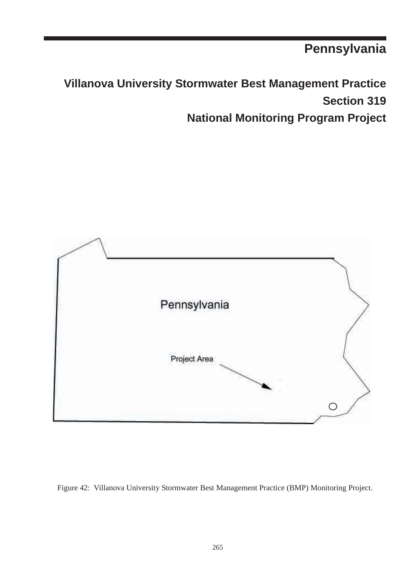**Pennsylvania**

**Villanova University Stormwater Best Management Practice Section 319 National Monitoring Program Project**



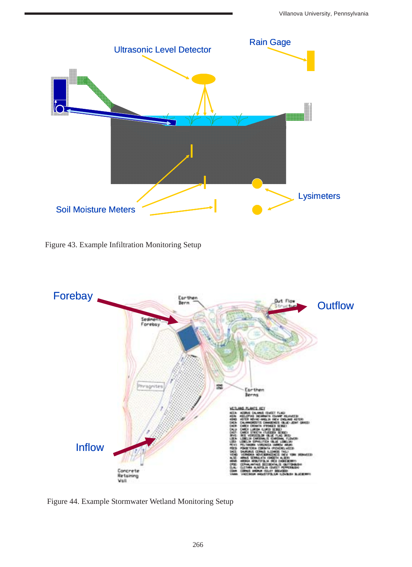

Figure 43. Example Infiltration Monitoring Setup



Figure 44. Example Stormwater Wetland Monitoring Setup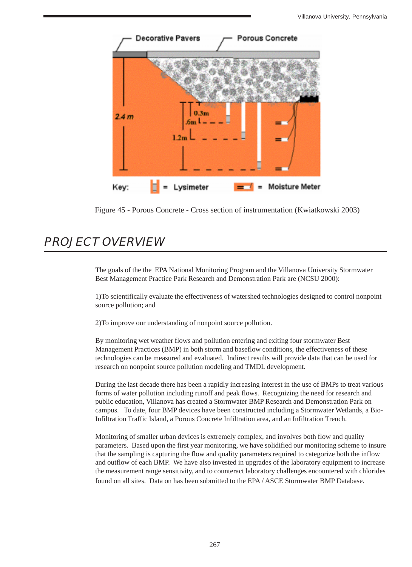

Figure 45 - Porous Concrete - Cross section of instrumentation (Kwiatkowski 2003)

## **PROJECT OVERVIEW**

The goals of the the EPA National Monitoring Program and the Villanova University Stormwater Best Management Practice Park Research and Demonstration Park are (NCSU 2000):

1)To scientifically evaluate the effectiveness of watershed technologies designed to control nonpoint source pollution; and

2)To improve our understanding of nonpoint source pollution.

By monitoring wet weather flows and pollution entering and exiting four stormwater Best Management Practices (BMP) in both storm and baseflow conditions, the effectiveness of these technologies can be measured and evaluated. Indirect results will provide data that can be used for research on nonpoint source pollution modeling and TMDL development.

During the last decade there has been a rapidly increasing interest in the use of BMPs to treat various forms of water pollution including runoff and peak flows. Recognizing the need for research and public education, Villanova has created a Stormwater BMP Research and Demonstration Park on campus. To date, four BMP devices have been constructed including a Stormwater Wetlands, a Bio-Infiltration Traffic Island, a Porous Concrete Infiltration area, and an Infiltration Trench.

Monitoring of smaller urban devices is extremely complex, and involves both flow and quality parameters. Based upon the first year monitoring, we have solidified our monitoring scheme to insure that the sampling is capturing the flow and quality parameters required to categorize both the inflow and outflow of each BMP. We have also invested in upgrades of the laboratory equipment to increase the measurement range sensitivity, and to counteract laboratory challenges encountered with chlorides found on all sites. Data on has been submitted to the EPA / ASCE Stormwater BMP Database.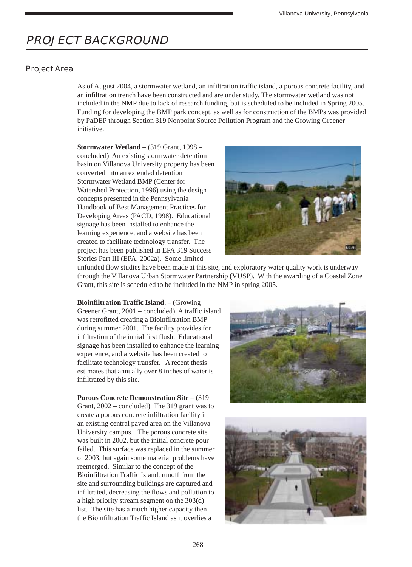# **PROJECT BACKGROUND**

### **Project Area**

As of August 2004, a stormwater wetland, an infiltration traffic island, a porous concrete facility, and an infiltration trench have been constructed and are under study. The stormwater wetland was not included in the NMP due to lack of research funding, but is scheduled to be included in Spring 2005. Funding for developing the BMP park concept, as well as for construction of the BMPs was provided by PaDEP through Section 319 Nonpoint Source Pollution Program and the Growing Greener initiative.

**Stormwater Wetland** – (319 Grant, 1998 – concluded) An existing stormwater detention basin on Villanova University property has been converted into an extended detention Stormwater Wetland BMP (Center for Watershed Protection, 1996) using the design concepts presented in the Pennsylvania Handbook of Best Management Practices for Developing Areas (PACD, 1998). Educational signage has been installed to enhance the learning experience, and a website has been created to facilitate technology transfer. The project has been published in EPA 319 Success Stories Part III (EPA, 2002a). Some limited



unfunded flow studies have been made at this site, and exploratory water quality work is underway through the Villanova Urban Stormwater Partnership (VUSP). With the awarding of a Coastal Zone Grant, this site is scheduled to be included in the NMP in spring 2005.

**Bioinfiltration Traffic Island**. – (Growing Greener Grant, 2001 – concluded) A traffic island was retrofitted creating a Bioinfiltration BMP during summer 2001. The facility provides for infiltration of the initial first flush. Educational signage has been installed to enhance the learning experience, and a website has been created to facilitate technology transfer. A recent thesis estimates that annually over 8 inches of water is infiltrated by this site.

**Porous Concrete Demonstration Site** – (319 Grant, 2002 – concluded) The 319 grant was to create a porous concrete infiltration facility in an existing central paved area on the Villanova University campus. The porous concrete site was built in 2002, but the initial concrete pour failed. This surface was replaced in the summer of 2003, but again some material problems have reemerged. Similar to the concept of the Bioinfiltration Traffic Island, runoff from the site and surrounding buildings are captured and infiltrated, decreasing the flows and pollution to a high priority stream segment on the 303(d) list. The site has a much higher capacity then the Bioinfiltration Traffic Island as it overlies a



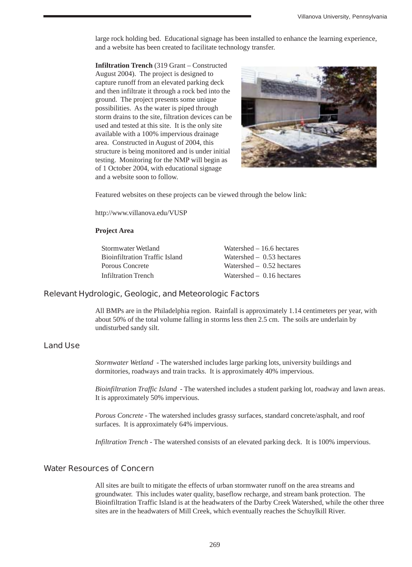large rock holding bed. Educational signage has been installed to enhance the learning experience, and a website has been created to facilitate technology transfer.

**Infiltration Trench** (319 Grant – Constructed August 2004). The project is designed to capture runoff from an elevated parking deck and then infiltrate it through a rock bed into the ground. The project presents some unique possibilities. As the water is piped through storm drains to the site, filtration devices can be used and tested at this site. It is the only site available with a 100% impervious drainage area. Constructed in August of 2004, this structure is being monitored and is under initial testing. Monitoring for the NMP will begin as of 1 October 2004, with educational signage and a website soon to follow.



Featured websites on these projects can be viewed through the below link:

http://www.villanova.edu/VUSP

#### **Project Area**

| Stormwater Wetland             | Watershed $-16.6$ hectares  |
|--------------------------------|-----------------------------|
| Bioinfiltration Traffic Island | Watershed $-$ 0.53 hectares |
| Porous Concrete                | Watershed $-$ 0.52 hectares |
| Infiltration Trench            | Watershed $-$ 0.16 hectares |

#### **Relevant Hydrologic, Geologic, and Meteorologic Factors**

All BMPs are in the Philadelphia region. Rainfall is approximately 1.14 centimeters per year, with about 50% of the total volume falling in storms less then 2.5 cm. The soils are underlain by undisturbed sandy silt.

#### **Land Use**

*Stormwater Wetland* - The watershed includes large parking lots, university buildings and dormitories, roadways and train tracks. It is approximately 40% impervious.

*Bioinfiltration Traffic Island* - The watershed includes a student parking lot, roadway and lawn areas. It is approximately 50% impervious.

*Porous Concrete* - The watershed includes grassy surfaces, standard concrete/asphalt, and roof surfaces. It is approximately 64% impervious.

*Infiltration Trench* - The watershed consists of an elevated parking deck. It is 100% impervious.

### **Water Resources of Concern**

All sites are built to mitigate the effects of urban stormwater runoff on the area streams and groundwater. This includes water quality, baseflow recharge, and stream bank protection. The Bioinfiltration Traffic Island is at the headwaters of the Darby Creek Watershed, while the other three sites are in the headwaters of Mill Creek, which eventually reaches the Schuylkill River.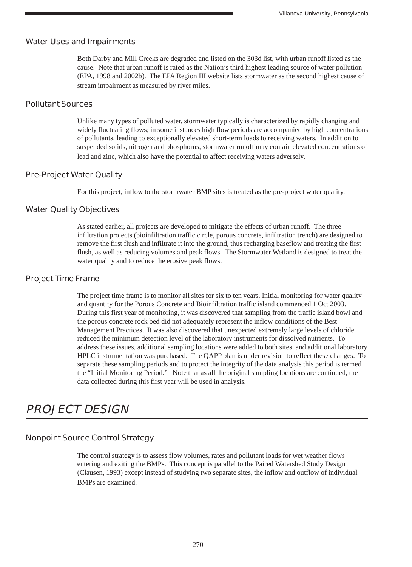### **Water Uses and Impairments**

Both Darby and Mill Creeks are degraded and listed on the 303d list, with urban runoff listed as the cause. Note that urban runoff is rated as the Nation's third highest leading source of water pollution (EPA, 1998 and 2002b). The EPA Region III website lists stormwater as the second highest cause of stream impairment as measured by river miles.

### **Pollutant Sources**

Unlike many types of polluted water, stormwater typically is characterized by rapidly changing and widely fluctuating flows; in some instances high flow periods are accompanied by high concentrations of pollutants, leading to exceptionally elevated short-term loads to receiving waters. In addition to suspended solids, nitrogen and phosphorus, stormwater runoff may contain elevated concentrations of lead and zinc, which also have the potential to affect receiving waters adversely.

### **Pre-Project Water Quality**

For this project, inflow to the stormwater BMP sites is treated as the pre-project water quality.

### **Water Quality Objectives**

As stated earlier, all projects are developed to mitigate the effects of urban runoff. The three infiltration projects (bioinfiltration traffic circle, porous concrete, infiltration trench) are designed to remove the first flush and infiltrate it into the ground, thus recharging baseflow and treating the first flush, as well as reducing volumes and peak flows. The Stormwater Wetland is designed to treat the water quality and to reduce the erosive peak flows.

### **Project Time Frame**

The project time frame is to monitor all sites for six to ten years. Initial monitoring for water quality and quantity for the Porous Concrete and Bioinfiltration traffic island commenced 1 Oct 2003. During this first year of monitoring, it was discovered that sampling from the traffic island bowl and the porous concrete rock bed did not adequately represent the inflow conditions of the Best Management Practices. It was also discovered that unexpected extremely large levels of chloride reduced the minimum detection level of the laboratory instruments for dissolved nutrients. To address these issues, additional sampling locations were added to both sites, and additional laboratory HPLC instrumentation was purchased. The QAPP plan is under revision to reflect these changes. To separate these sampling periods and to protect the integrity of the data analysis this period is termed the "Initial Monitoring Period." Note that as all the original sampling locations are continued, the data collected during this first year will be used in analysis.

# **PROJECT DESIGN**

## **Nonpoint Source Control Strategy**

The control strategy is to assess flow volumes, rates and pollutant loads for wet weather flows entering and exiting the BMPs. This concept is parallel to the Paired Watershed Study Design (Clausen, 1993) except instead of studying two separate sites, the inflow and outflow of individual BMPs are examined.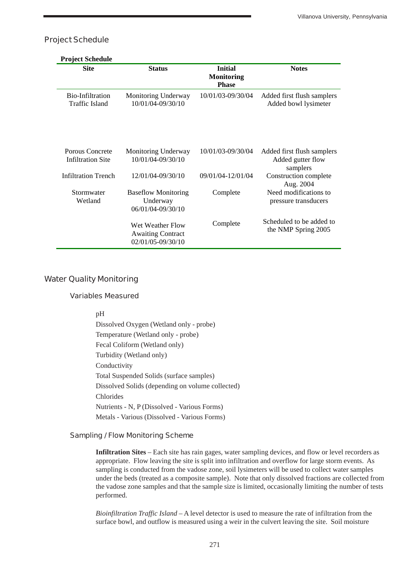## **Project Schedule**

| <b>Project Schedule</b>                     |                                                                   |                                                     |                                                             |
|---------------------------------------------|-------------------------------------------------------------------|-----------------------------------------------------|-------------------------------------------------------------|
| <b>Site</b>                                 | <b>Status</b>                                                     | <b>Initial</b><br><b>Monitoring</b><br><b>Phase</b> | <b>Notes</b>                                                |
| Bio-Infiltration<br>Traffic Island          | Monitoring Underway<br>10/01/04-09/30/10                          | 10/01/03-09/30/04                                   | Added first flush samplers<br>Added bowl lysimeter          |
| Porous Concrete<br><b>Infiltration Site</b> | Monitoring Underway<br>10/01/04-09/30/10                          | 10/01/03-09/30/04                                   | Added first flush samplers<br>Added gutter flow<br>samplers |
| <b>Infiltration Trench</b>                  | 12/01/04-09/30/10                                                 | 09/01/04-12/01/04                                   | Construction complete<br>Aug. 2004                          |
| Stormwater<br>Wetland                       | <b>Baseflow Monitoring</b><br>Underway<br>06/01/04-09/30/10       | Complete                                            | Need modifications to<br>pressure transducers               |
|                                             | Wet Weather Flow<br><b>Awaiting Contract</b><br>02/01/05-09/30/10 | Complete                                            | Scheduled to be added to<br>the NMP Spring 2005             |

### **Water Quality Monitoring**

#### **Variables Measured**

pH

Dissolved Oxygen (Wetland only - probe) Temperature (Wetland only - probe) Fecal Coliform (Wetland only) Turbidity (Wetland only) Conductivity Total Suspended Solids (surface samples) Dissolved Solids (depending on volume collected) Chlorides Nutrients - N, P (Dissolved - Various Forms) Metals - Various (Dissolved - Various Forms)

#### **Sampling / Flow Monitoring Scheme**

**Infiltration Sites** – Each site has rain gages, water sampling devices, and flow or level recorders as appropriate. Flow leaving the site is split into infiltration and overflow for large storm events. As sampling is conducted from the vadose zone, soil lysimeters will be used to collect water samples under the beds (treated as a composite sample). Note that only dissolved fractions are collected from the vadose zone samples and that the sample size is limited, occasionally limiting the number of tests performed.

*Bioinfiltration Traffic Island* – A level detector is used to measure the rate of infiltration from the surface bowl, and outflow is measured using a weir in the culvert leaving the site. Soil moisture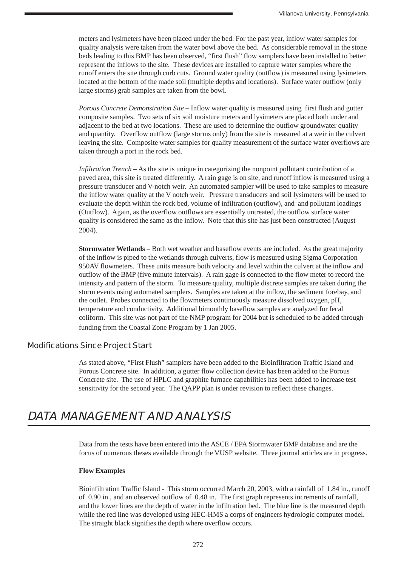meters and lysimeters have been placed under the bed. For the past year, inflow water samples for quality analysis were taken from the water bowl above the bed. As considerable removal in the stone beds leading to this BMP has been observed, "first flush" flow samplers have been installed to better represent the inflows to the site. These devices are installed to capture water samples where the runoff enters the site through curb cuts. Ground water quality (outflow) is measured using lysimeters located at the bottom of the made soil (multiple depths and locations). Surface water outflow (only large storms) grab samples are taken from the bowl.

*Porous Concrete Demonstration Site* – Inflow water quality is measured using first flush and gutter composite samples. Two sets of six soil moisture meters and lysimeters are placed both under and adjacent to the bed at two locations. These are used to determine the outflow groundwater quality and quantity. Overflow outflow (large storms only) from the site is measured at a weir in the culvert leaving the site. Composite water samples for quality measurement of the surface water overflows are taken through a port in the rock bed.

*Infiltration Trench* – As the site is unique in categorizing the nonpoint pollutant contribution of a paved area, this site is treated differently. A rain gage is on site, and runoff inflow is measured using a pressure transducer and V-notch weir. An automated sampler will be used to take samples to measure the inflow water quality at the V notch weir. Pressure transducers and soil lysimeters will be used to evaluate the depth within the rock bed, volume of infiltration (outflow), and and pollutant loadings (Outflow). Again, as the overflow outflows are essentially untreated, the outflow surface water quality is considered the same as the inflow. Note that this site has just been constructed (August 2004).

**Stormwater Wetlands** – Both wet weather and baseflow events are included. As the great majority of the inflow is piped to the wetlands through culverts, flow is measured using Sigma Corporation 950AV flowmeters. These units measure both velocity and level within the culvert at the inflow and outflow of the BMP (five minute intervals). A rain gage is connected to the flow meter to record the intensity and pattern of the storm. To measure quality, multiple discrete samples are taken during the storm events using automated samplers. Samples are taken at the inflow, the sediment forebay, and the outlet. Probes connected to the flowmeters continuously measure dissolved oxygen, pH, temperature and conductivity. Additional bimonthly baseflow samples are analyzed for fecal coliform. This site was not part of the NMP program for 2004 but is scheduled to be added through funding from the Coastal Zone Program by 1 Jan 2005.

### **Modifications Since Project Start**

As stated above, "First Flush" samplers have been added to the Bioinfiltration Traffic Island and Porous Concrete site. In addition, a gutter flow collection device has been added to the Porous Concrete site. The use of HPLC and graphite furnace capabilities has been added to increase test sensitivity for the second year. The QAPP plan is under revision to reflect these changes.

## **DATA MANAGEMENT AND ANALYSIS**

Data from the tests have been entered into the ASCE / EPA Stormwater BMP database and are the focus of numerous theses available through the VUSP website. Three journal articles are in progress.

#### **Flow Examples**

Bioinfiltration Traffic Island - This storm occurred March 20, 2003, with a rainfall of 1.84 in., runoff of 0.90 in., and an observed outflow of 0.48 in. The first graph represents increments of rainfall, and the lower lines are the depth of water in the infiltration bed. The blue line is the measured depth while the red line was developed using HEC-HMS a corps of engineers hydrologic computer model. The straight black signifies the depth where overflow occurs.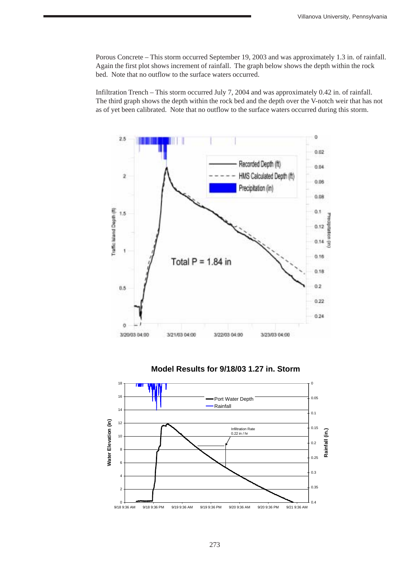Porous Concrete – This storm occurred September 19, 2003 and was approximately 1.3 in. of rainfall. Again the first plot shows increment of rainfall. The graph below shows the depth within the rock bed. Note that no outflow to the surface waters occurred.

Infiltration Trench – This storm occurred July 7, 2004 and was approximately 0.42 in. of rainfall. The third graph shows the depth within the rock bed and the depth over the V-notch weir that has not as of yet been calibrated. Note that no outflow to the surface waters occurred during this storm.



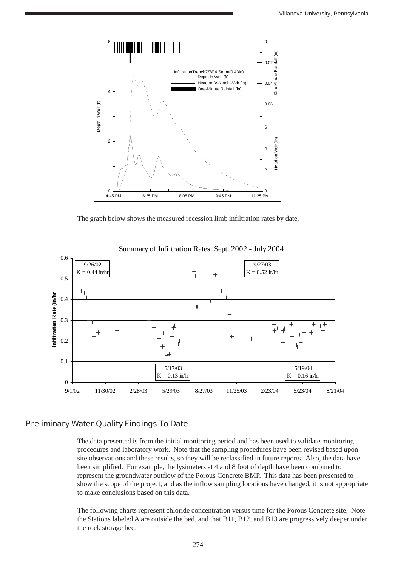

The graph below shows the measured recession limb infiltration rates by date.



## **Preliminary Water Quality Findings To Date**

The data presented is from the initial monitoring period and has been used to validate monitoring procedures and laboratory work. Note that the sampling procedures have been revised based upon site observations and these results, so they will be reclassified in future reports. Also, the data have been simplified. For example, the lysimeters at 4 and 8 foot of depth have been combined to represent the groundwater outflow of the Porous Concrete BMP. This data has been presented to show the scope of the project, and as the inflow sampling locations have changed, it is not appropriate to make conclusions based on this data.

The following charts represent chloride concentration versus time for the Porous Concrete site. Note the Stations labeled A are outside the bed, and that B11, B12, and B13 are progressively deeper under the rock storage bed.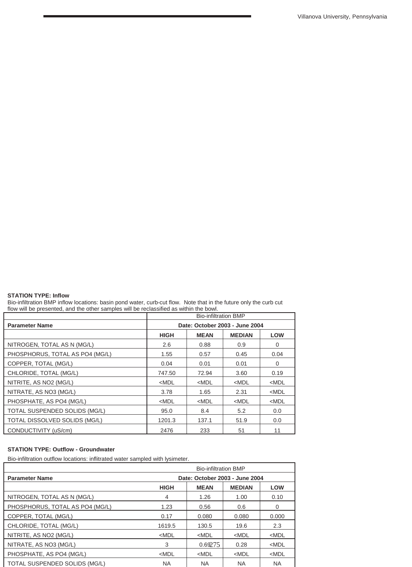#### **STATION TYPE: Inflow**

Bio-infiltration BMP inflow locations: basin pond water, curb-cut flow. Note that in the future only the curb cut flow will be presented, and the other samples will be reclassified as within the bowl.

|                                 | <b>Bio-infiltration BMP</b>    |             |               |            |
|---------------------------------|--------------------------------|-------------|---------------|------------|
| <b>Parameter Name</b>           | Date: October 2003 - June 2004 |             |               |            |
|                                 | <b>HIGH</b>                    | <b>MEAN</b> | <b>MEDIAN</b> | <b>LOW</b> |
| NITROGEN, TOTAL AS N (MG/L)     | 2.6                            | 0.88        | 0.9           | 0          |
| PHOSPHORUS, TOTAL AS PO4 (MG/L) | 1.55                           | 0.57        | 0.45          | 0.04       |
| COPPER, TOTAL (MG/L)            | 0.04                           | 0.01        | 0.01          | 0          |
| CHLORIDE, TOTAL (MG/L)          | 747.50                         | 72.94       | 3.60          | 0.19       |
| NITRITE, AS NO2 (MG/L)          | $<$ MDL                        | $<$ MDL     | $<$ MDL       | $<$ MDL    |
| NITRATE, AS NO3 (MG/L)          | 3.78                           | 1.65        | 2.31          | $<$ MDL    |
| PHOSPHATE, AS PO4 (MG/L)        | $<$ MDL                        | $<$ MDL     | $<$ MDL       | $<$ MDL    |
| TOTAL SUSPENDED SOLIDS (MG/L)   | 95.0                           | 8.4         | 5.2           | 0.0        |
| TOTAL DISSOLVED SOLIDS (MG/L)   | 1201.3                         | 137.1       | 51.9          | 0.0        |
| CONDUCTIVITY (uS/cm)            | 2476                           | 233         | 51            | 11         |

#### **STATION TYPE: Outflow - Groundwater**

Bio-infiltration outflow locations: inflitrated water sampled with lysimeter.

|                                 |                                | <b>Bio-infiltration BMP</b> |               |           |
|---------------------------------|--------------------------------|-----------------------------|---------------|-----------|
| <b>Parameter Name</b>           | Date: October 2003 - June 2004 |                             |               |           |
|                                 | <b>HIGH</b>                    | <b>MEAN</b>                 | <b>MEDIAN</b> | LOW       |
| NITROGEN, TOTAL AS N (MG/L)     | 4                              | 1.26                        | 1.00          | 0.10      |
| PHOSPHORUS, TOTAL AS PO4 (MG/L) | 1.23                           | 0.56                        | 0.6           | 0         |
| COPPER, TOTAL (MG/L)            | 0.17                           | 0.080                       | 0.080         | 0.000     |
| CHLORIDE, TOTAL (MG/L)          | 1619.5                         | 130.5                       | 19.6          | 2.3       |
| NITRITE, AS NO2 (MG/L)          | $<$ MDL                        | $<$ MDL                     | $<$ MDL       | $<$ MDL   |
| NITRATE, AS NO3 (MG/L)          | 3                              | 0.69275                     | 0.28          | $<$ MDL   |
| PHOSPHATE, AS PO4 (MG/L)        | $<$ MDL                        | $<$ MDL                     | $<$ MDL       | $<$ MDL   |
| TOTAL SUSPENDED SOLIDS (MG/L)   | <b>NA</b>                      | <b>NA</b>                   | ΝA            | <b>NA</b> |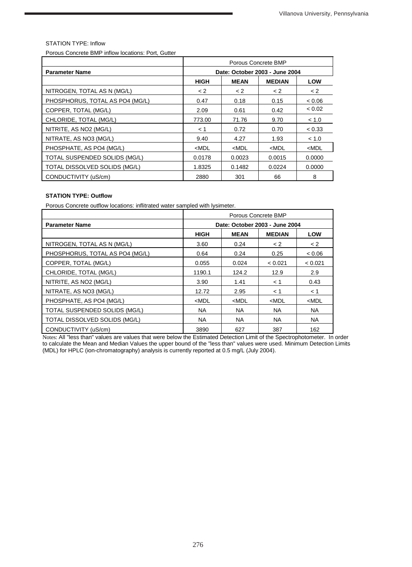#### STATION TYPE: Inflow

Porous Concrete BMP inflow locations: Port, Gutter

|                                 | Porous Concrete BMP            |             |               |            |
|---------------------------------|--------------------------------|-------------|---------------|------------|
| <b>Parameter Name</b>           | Date: October 2003 - June 2004 |             |               |            |
|                                 | <b>HIGH</b>                    | <b>MEAN</b> | <b>MEDIAN</b> | <b>LOW</b> |
| NITROGEN, TOTAL AS N (MG/L)     | < 2                            | $\lt 2$     | < 2           | < 2        |
| PHOSPHORUS, TOTAL AS PO4 (MG/L) | 0.47                           | 0.18        | 0.15          | < 0.06     |
| COPPER, TOTAL (MG/L)            | 2.09                           | 0.61        | 0.42          | < 0.02     |
| CHLORIDE, TOTAL (MG/L)          | 773.00                         | 71.76       | 9.70          | < 1.0      |
| NITRITE, AS NO2 (MG/L)          | < 1                            | 0.72        | 0.70          | < 0.33     |
| NITRATE, AS NO3 (MG/L)          | 9.40                           | 4.27        | 1.93          | < 1.0      |
| PHOSPHATE, AS PO4 (MG/L)        | $<$ MDL                        | $<$ MDL     | $<$ MDL       | $<$ MDL    |
| TOTAL SUSPENDED SOLIDS (MG/L)   | 0.0178                         | 0.0023      | 0.0015        | 0.0000     |
| TOTAL DISSOLVED SOLIDS (MG/L)   | 1.8325                         | 0.1482      | 0.0224        | 0.0000     |
| CONDUCTIVITY (uS/cm)            | 2880                           | 301         | 66            | 8          |

#### **STATION TYPE: Outflow**

Porous Concrete outflow locations: inflitrated water sampled with lysimeter.

|                                 | Porous Concrete BMP            |             |               |            |
|---------------------------------|--------------------------------|-------------|---------------|------------|
| <b>Parameter Name</b>           | Date: October 2003 - June 2004 |             |               |            |
|                                 | <b>HIGH</b>                    | <b>MEAN</b> | <b>MEDIAN</b> | <b>LOW</b> |
| NITROGEN, TOTAL AS N (MG/L)     | 3.60                           | 0.24        | < 2           | < 2        |
| PHOSPHORUS, TOTAL AS PO4 (MG/L) | 0.64                           | 0.24        | 0.25          | < 0.06     |
| COPPER, TOTAL (MG/L)            | 0.055                          | 0.024       | < 0.021       | < 0.021    |
| CHLORIDE, TOTAL (MG/L)          | 1190.1                         | 124.2       | 12.9          | 2.9        |
| NITRITE, AS NO2 (MG/L)          | 3.90                           | 1.41        | < 1           | 0.43       |
| NITRATE, AS NO3 (MG/L)          | 12.72                          | 2.95        | < 1           | < 1        |
| PHOSPHATE, AS PO4 (MG/L)        | $<$ MDL                        | $<$ MDL     | $<$ MDL       | $<$ MDL    |
| TOTAL SUSPENDED SOLIDS (MG/L)   | <b>NA</b>                      | <b>NA</b>   | <b>NA</b>     | <b>NA</b>  |
| TOTAL DISSOLVED SOLIDS (MG/L)   | <b>NA</b>                      | <b>NA</b>   | <b>NA</b>     | NA.        |
| CONDUCTIVITY (uS/cm)            | 3890                           | 627         | 387           | 162        |

Notes: All "less than" values are values that were below the Estimated Detection Limit of the Spectrophotometer. In order to calculate the Mean and Median Values the upper bound of the "less than" values were used. Minimum Detection Limits (MDL) for HPLC (ion-chromatography) analysis is currently reported at 0.5 mg/L (July 2004).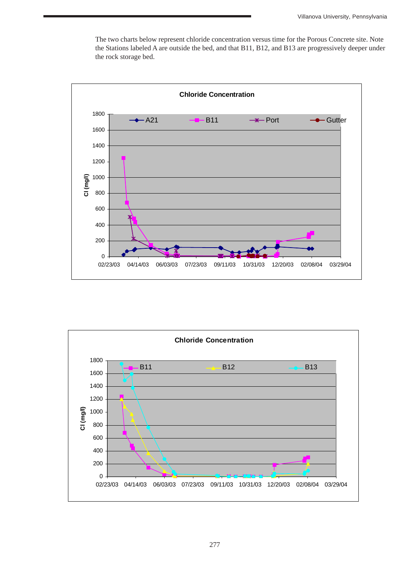The two charts below represent chloride concentration versus time for the Porous Concrete site. Note the Stations labeled A are outside the bed, and that B11, B12, and B13 are progressively deeper under the rock storage bed.



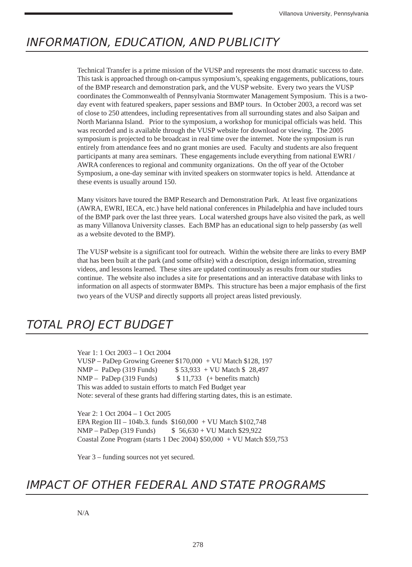## **INFORMATION, EDUCATION, AND PUBLICITY**

Technical Transfer is a prime mission of the VUSP and represents the most dramatic success to date. This task is approached through on-campus symposium's, speaking engagements, publications, tours of the BMP research and demonstration park, and the VUSP website. Every two years the VUSP coordinates the Commonwealth of Pennsylvania Stormwater Management Symposium. This is a twoday event with featured speakers, paper sessions and BMP tours. In October 2003, a record was set of close to 250 attendees, including representatives from all surrounding states and also Saipan and North Marianna Island. Prior to the symposium, a workshop for municipal officials was held. This was recorded and is available through the VUSP website for download or viewing. The 2005 symposium is projected to be broadcast in real time over the internet. Note the symposium is run entirely from attendance fees and no grant monies are used. Faculty and students are also frequent participants at many area seminars. These engagements include everything from national EWRI / AWRA conferences to regional and community organizations. On the off year of the October Symposium, a one-day seminar with invited speakers on stormwater topics is held. Attendance at these events is usually around 150.

Many visitors have toured the BMP Research and Demonstration Park. At least five organizations (AWRA, EWRI, IECA, etc.) have held national conferences in Philadelphia and have included tours of the BMP park over the last three years. Local watershed groups have also visited the park, as well as many Villanova University classes. Each BMP has an educational sign to help passersby (as well as a website devoted to the BMP).

The VUSP website is a significant tool for outreach. Within the website there are links to every BMP that has been built at the park (and some offsite) with a description, design information, streaming videos, and lessons learned. These sites are updated continuously as results from our studies continue. The website also includes a site for presentations and an interactive database with links to information on all aspects of stormwater BMPs. This structure has been a major emphasis of the first two years of the VUSP and directly supports all project areas listed previously.

## **TOTAL PROJECT BUDGET**

Year 1: 1 Oct 2003 – 1 Oct 2004 VUSP – PaDep Growing Greener \$170,000 + VU Match \$128, 197 NMP – PaDep (319 Funds)  $$53,933 + VU$  Match \$ 28,497 NMP – PaDep (319 Funds)  $$ 11,733$  (+ benefits match) This was added to sustain efforts to match Fed Budget year Note: several of these grants had differing starting dates, this is an estimate.

Year 2: 1 Oct 2004 – 1 Oct 2005 EPA Region III – 104b.3. funds \$160,000 + VU Match \$102,748 NMP – PaDep (319 Funds) \$ 56,630 + VU Match \$29,922 Coastal Zone Program (starts 1 Dec 2004) \$50,000 + VU Match \$59,753

Year  $3$  – funding sources not yet secured.

## **IMPACT OF OTHER FEDERAL AND STATE PROGRAMS**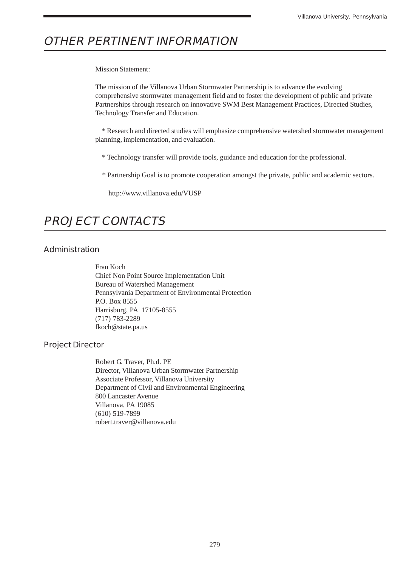# **OTHER PERTINENT INFORMATION**

Mission Statement:

The mission of the Villanova Urban Stormwater Partnership is to advance the evolving comprehensive stormwater management field and to foster the development of public and private Partnerships through research on innovative SWM Best Management Practices, Directed Studies, Technology Transfer and Education.

 \* Research and directed studies will emphasize comprehensive watershed stormwater management planning, implementation, and evaluation.

- \* Technology transfer will provide tools, guidance and education for the professional.
- \* Partnership Goal is to promote cooperation amongst the private, public and academic sectors.

http://www.villanova.edu/VUSP

# **PROJECT CONTACTS**

### **Administration**

Fran Koch Chief Non Point Source Implementation Unit Bureau of Watershed Management Pennsylvania Department of Environmental Protection P.O. Box 8555 Harrisburg, PA 17105-8555 (717) 783-2289 fkoch@state.pa.us

### **Project Director**

Robert G. Traver, Ph.d. PE Director, Villanova Urban Stormwater Partnership Associate Professor, Villanova University Department of Civil and Environmental Engineering 800 Lancaster Avenue Villanova, PA 19085 (610) 519-7899 robert.traver@villanova.edu